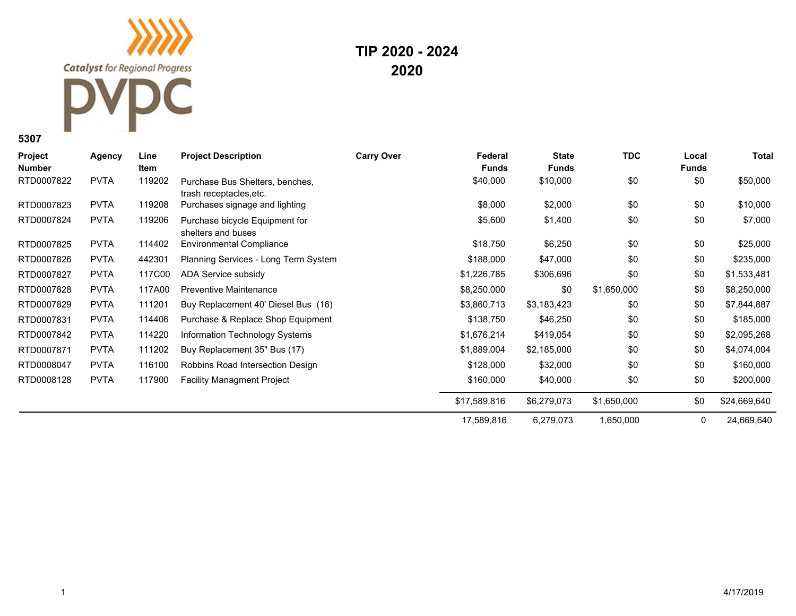**TIP 2020 - 2024 2020**

| <b>Project</b><br><b>Number</b> | Agency      | Line<br>Item | <b>Project Description</b>                                 | <b>Carry Over</b> | Federal<br><b>Funds</b> | <b>State</b><br><b>Funds</b> | <b>TDC</b>  | Local<br><b>Funds</b> | Total        |
|---------------------------------|-------------|--------------|------------------------------------------------------------|-------------------|-------------------------|------------------------------|-------------|-----------------------|--------------|
| RTD0007822                      | <b>PVTA</b> | 119202       | Purchase Bus Shelters, benches,<br>trash receptacles, etc. |                   | \$40,000                | \$10,000                     | \$0         | \$0                   | \$50,000     |
| RTD0007823                      | <b>PVTA</b> | 119208       | Purchases signage and lighting                             |                   | \$8,000                 | \$2,000                      | \$0         | \$0                   | \$10,000     |
| RTD0007824                      | <b>PVTA</b> | 119206       | Purchase bicycle Equipment for<br>shelters and buses       |                   | \$5,600                 | \$1,400                      | \$0         | \$0                   | \$7,000      |
| RTD0007825                      | <b>PVTA</b> | 114402       | <b>Environmental Compliance</b>                            |                   | \$18,750                | \$6,250                      | \$0         | \$0                   | \$25,000     |
| RTD0007826                      | <b>PVTA</b> | 442301       | Planning Services - Long Term System                       |                   | \$188,000               | \$47,000                     | \$0         | \$0                   | \$235,000    |
| RTD0007827                      | <b>PVTA</b> | 117C00       | ADA Service subsidy                                        |                   | \$1,226,785             | \$306,696                    | \$0         | \$0                   | \$1,533,481  |
| RTD0007828                      | <b>PVTA</b> | 117A00       | <b>Preventive Maintenance</b>                              |                   | \$8,250,000             | \$0                          | \$1,650,000 | \$0                   | \$8,250,000  |
| RTD0007829                      | <b>PVTA</b> | 111201       | Buy Replacement 40' Diesel Bus (16)                        |                   | \$3,860,713             | \$3,183,423                  | \$0         | \$0                   | \$7,844,887  |
| RTD0007831                      | <b>PVTA</b> | 114406       | Purchase & Replace Shop Equipment                          |                   | \$138,750               | \$46,250                     | \$0         | \$0                   | \$185,000    |
| RTD0007842                      | <b>PVTA</b> | 114220       | Information Technology Systems                             |                   | \$1,676,214             | \$419,054                    | \$0         | \$0                   | \$2,095,268  |
| RTD0007871                      | <b>PVTA</b> | 111202       | Buy Replacement 35" Bus (17)                               |                   | \$1,889,004             | \$2,185,000                  | \$0         | \$0                   | \$4,074,004  |
| RTD0008047                      | <b>PVTA</b> | 116100       | Robbins Road Intersection Design                           |                   | \$128,000               | \$32,000                     | \$0         | \$0                   | \$160,000    |
| RTD0008128                      | <b>PVTA</b> | 117900       | <b>Facility Managment Project</b>                          |                   | \$160,000               | \$40,000                     | \$0         | \$0                   | \$200,000    |
|                                 |             |              |                                                            |                   | \$17,589,816            | \$6,279,073                  | \$1,650,000 | \$0                   | \$24,669,640 |
|                                 |             |              |                                                            |                   | 17,589,816              | 6,279,073                    | 1,650,000   | 0                     | 24,669,640   |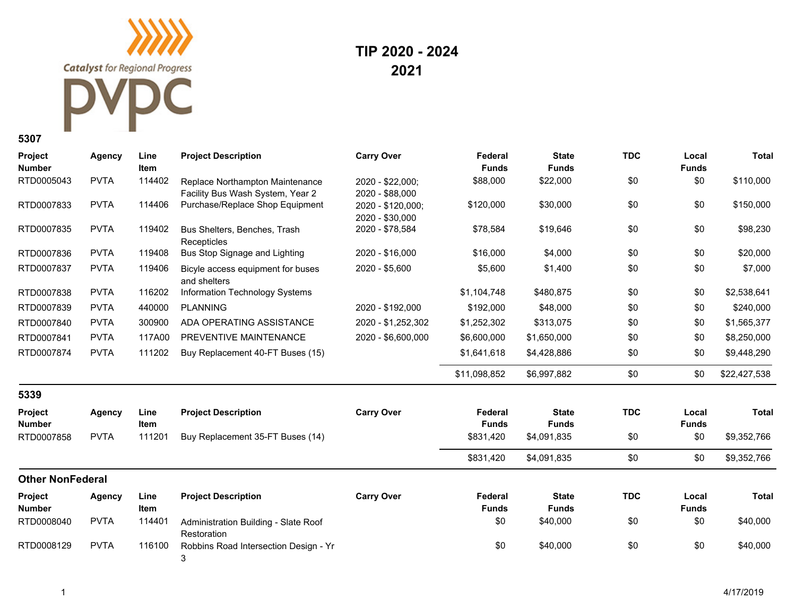## **TIP 2020 - 2024 2021**

| <b>Project</b><br><b>Number</b> | <b>Agency</b> | Line<br><b>Item</b> | <b>Project Description</b>                                          | <b>Carry Over</b>                    | Federal<br><b>Funds</b> | <b>State</b><br><b>Funds</b> | <b>TDC</b> | Local<br><b>Funds</b> | <b>Total</b> |
|---------------------------------|---------------|---------------------|---------------------------------------------------------------------|--------------------------------------|-------------------------|------------------------------|------------|-----------------------|--------------|
| RTD0005043                      | <b>PVTA</b>   | 114402              | Replace Northampton Maintenance<br>Facility Bus Wash System, Year 2 | 2020 - \$22,000;<br>2020 - \$88,000  | \$88,000                | \$22,000                     | \$0        | \$0                   | \$110,000    |
| RTD0007833                      | <b>PVTA</b>   | 114406              | Purchase/Replace Shop Equipment                                     | 2020 - \$120,000;<br>2020 - \$30,000 | \$120,000               | \$30,000                     | \$0        | \$0                   | \$150,000    |
| RTD0007835                      | <b>PVTA</b>   | 119402              | Bus Shelters, Benches, Trash<br>Recepticles                         | 2020 - \$78,584                      | \$78,584                | \$19,646                     | \$0        | \$0                   | \$98,230     |
| RTD0007836                      | <b>PVTA</b>   | 119408              | Bus Stop Signage and Lighting                                       | 2020 - \$16,000                      | \$16,000                | \$4,000                      | \$0        | \$0                   | \$20,000     |
| RTD0007837                      | <b>PVTA</b>   | 119406              | Bicyle access equipment for buses<br>and shelters                   | 2020 - \$5,600                       | \$5,600                 | \$1,400                      | \$0        | \$0                   | \$7,000      |
| RTD0007838                      | <b>PVTA</b>   | 116202              | Information Technology Systems                                      |                                      | \$1,104,748             | \$480,875                    | \$0        | \$0                   | \$2,538,641  |
| RTD0007839                      | <b>PVTA</b>   | 440000              | <b>PLANNING</b>                                                     | 2020 - \$192,000                     | \$192,000               | \$48,000                     | \$0        | \$0                   | \$240,000    |
| RTD0007840                      | <b>PVTA</b>   | 300900              | ADA OPERATING ASSISTANCE                                            | 2020 - \$1,252,302                   | \$1,252,302             | \$313,075                    | \$0        | \$0                   | \$1,565,377  |
| RTD0007841                      | <b>PVTA</b>   | 117A00              | PREVENTIVE MAINTENANCE                                              | 2020 - \$6,600,000                   | \$6,600,000             | \$1,650,000                  | \$0        | \$0                   | \$8,250,000  |
| RTD0007874                      | <b>PVTA</b>   | 111202              | Buy Replacement 40-FT Buses (15)                                    |                                      | \$1,641,618             | \$4,428,886                  | \$0        | \$0                   | \$9,448,290  |
|                                 |               |                     |                                                                     |                                      | \$11,098,852            | \$6,997,882                  | \$0        | \$0                   | \$22,427,538 |
| 5339                            |               |                     |                                                                     |                                      |                         |                              |            |                       |              |
| Project<br><b>Number</b>        | <b>Agency</b> | Line<br><b>Item</b> | <b>Project Description</b>                                          | <b>Carry Over</b>                    | Federal<br><b>Funds</b> | <b>State</b><br><b>Funds</b> | <b>TDC</b> | Local<br><b>Funds</b> | <b>Total</b> |
| RTD0007858                      | <b>PVTA</b>   | 111201              | Buy Replacement 35-FT Buses (14)                                    |                                      | \$831,420               | \$4,091,835                  | \$0        | \$0                   | \$9,352,766  |
|                                 |               |                     |                                                                     |                                      | \$831,420               | \$4,091,835                  | \$0        | \$0                   | \$9,352,766  |
| <b>Other NonFederal</b>         |               |                     |                                                                     |                                      |                         |                              |            |                       |              |
| Project<br><b>Number</b>        | <b>Agency</b> | Line<br>Item        | <b>Project Description</b>                                          | <b>Carry Over</b>                    | Federal<br><b>Funds</b> | <b>State</b><br><b>Funds</b> | <b>TDC</b> | Local<br><b>Funds</b> | <b>Total</b> |
| RTD0008040                      | <b>PVTA</b>   | 114401              | Administration Building - Slate Roof<br>Restoration                 |                                      | \$0                     | \$40,000                     | \$0        | \$0                   | \$40,000     |
| RTD0008129                      | <b>PVTA</b>   | 116100              | Robbins Road Intersection Design - Yr<br>3                          |                                      | \$0                     | \$40,000                     | \$0        | \$0                   | \$40,000     |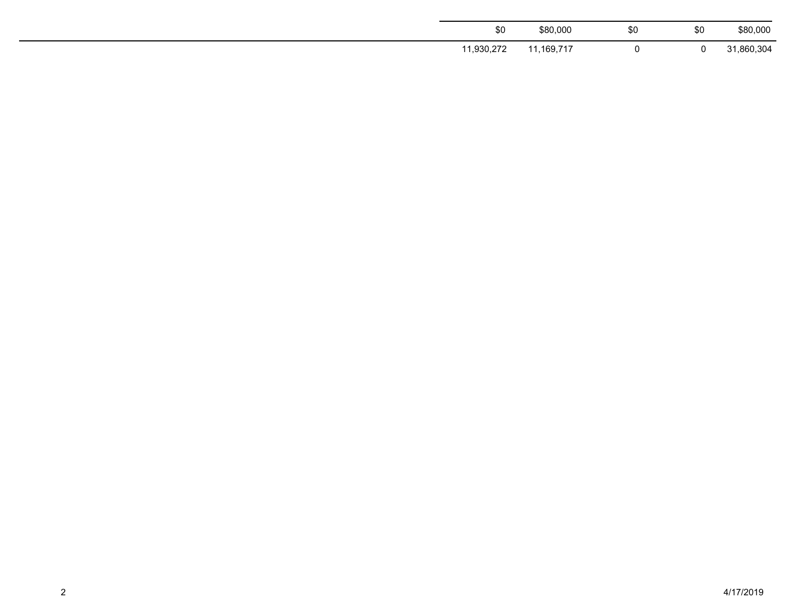| \$0        | \$80,000   | \$0 | \$0 | \$80,000   |
|------------|------------|-----|-----|------------|
| 11,930,272 | 11,169,717 |     | u   | 31,860,304 |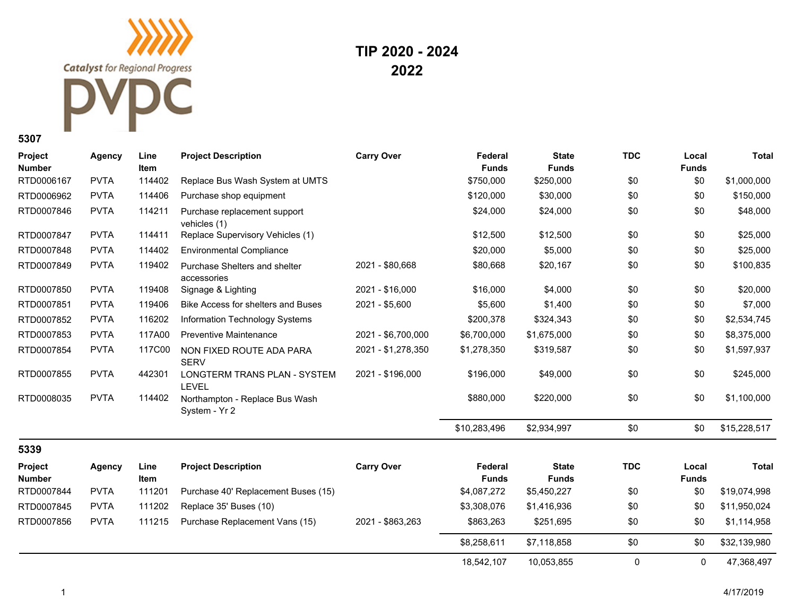**TIP 2020 - 2024 2022**

| Project<br><b>Number</b> | Agency        | Line<br>Item | <b>Project Description</b>                      | <b>Carry Over</b>  | Federal<br><b>Funds</b> | <b>State</b><br><b>Funds</b> | <b>TDC</b>  | Local<br><b>Funds</b> | <b>Total</b> |
|--------------------------|---------------|--------------|-------------------------------------------------|--------------------|-------------------------|------------------------------|-------------|-----------------------|--------------|
| RTD0006167               | <b>PVTA</b>   | 114402       | Replace Bus Wash System at UMTS                 |                    | \$750,000               | \$250,000                    | \$0         | \$0                   | \$1,000,000  |
| RTD0006962               | <b>PVTA</b>   | 114406       | Purchase shop equipment                         |                    | \$120,000               | \$30,000                     | \$0         | \$0                   | \$150,000    |
| RTD0007846               | <b>PVTA</b>   | 114211       | Purchase replacement support<br>vehicles (1)    |                    | \$24,000                | \$24,000                     | \$0         | \$0                   | \$48,000     |
| RTD0007847               | <b>PVTA</b>   | 114411       | Replace Supervisory Vehicles (1)                |                    | \$12,500                | \$12,500                     | \$0         | \$0                   | \$25,000     |
| RTD0007848               | <b>PVTA</b>   | 114402       | <b>Environmental Compliance</b>                 |                    | \$20,000                | \$5,000                      | \$0         | \$0                   | \$25,000     |
| RTD0007849               | <b>PVTA</b>   | 119402       | Purchase Shelters and shelter<br>accessories    | 2021 - \$80,668    | \$80,668                | \$20,167                     | \$0         | \$0                   | \$100,835    |
| RTD0007850               | <b>PVTA</b>   | 119408       | Signage & Lighting                              | 2021 - \$16.000    | \$16,000                | \$4,000                      | \$0         | \$0                   | \$20,000     |
| RTD0007851               | <b>PVTA</b>   | 119406       | Bike Access for shelters and Buses              | 2021 - \$5,600     | \$5,600                 | \$1,400                      | \$0         | \$0                   | \$7,000      |
| RTD0007852               | <b>PVTA</b>   | 116202       | Information Technology Systems                  |                    | \$200,378               | \$324,343                    | \$0         | \$0                   | \$2,534,745  |
| RTD0007853               | <b>PVTA</b>   | 117A00       | <b>Preventive Maintenance</b>                   | 2021 - \$6,700,000 | \$6,700,000             | \$1,675,000                  | \$0         | \$0                   | \$8,375,000  |
| RTD0007854               | <b>PVTA</b>   | 117C00       | NON FIXED ROUTE ADA PARA<br><b>SERV</b>         | 2021 - \$1,278,350 | \$1,278,350             | \$319,587                    | \$0         | \$0                   | \$1,597,937  |
| RTD0007855               | <b>PVTA</b>   | 442301       | LONGTERM TRANS PLAN - SYSTEM<br><b>LEVEL</b>    | 2021 - \$196,000   | \$196,000               | \$49,000                     | \$0         | \$0                   | \$245,000    |
| RTD0008035               | <b>PVTA</b>   | 114402       | Northampton - Replace Bus Wash<br>System - Yr 2 |                    | \$880,000               | \$220,000                    | \$0         | \$0                   | \$1,100,000  |
|                          |               |              |                                                 |                    | \$10,283,496            | \$2,934,997                  | \$0         | \$0                   | \$15,228,517 |
| 5339                     |               |              |                                                 |                    |                         |                              |             |                       |              |
| Project<br><b>Number</b> | <b>Agency</b> | Line<br>Item | <b>Project Description</b>                      | <b>Carry Over</b>  | Federal<br><b>Funds</b> | <b>State</b><br><b>Funds</b> | <b>TDC</b>  | Local<br><b>Funds</b> | <b>Total</b> |
| RTD0007844               | <b>PVTA</b>   | 111201       | Purchase 40' Replacement Buses (15)             |                    | \$4,087,272             | \$5,450,227                  | \$0         | \$0                   | \$19,074,998 |
| RTD0007845               | <b>PVTA</b>   | 111202       | Replace 35' Buses (10)                          |                    | \$3,308,076             | \$1,416,936                  | \$0         | \$0                   | \$11,950,024 |
| RTD0007856               | <b>PVTA</b>   | 111215       | Purchase Replacement Vans (15)                  | 2021 - \$863,263   | \$863,263               | \$251,695                    | \$0         | \$0                   | \$1,114,958  |
|                          |               |              |                                                 |                    | \$8,258,611             | \$7,118,858                  | \$0         | \$0                   | \$32,139,980 |
|                          |               |              |                                                 |                    | 18,542,107              | 10,053,855                   | $\mathbf 0$ | $\mathbf 0$           | 47,368,497   |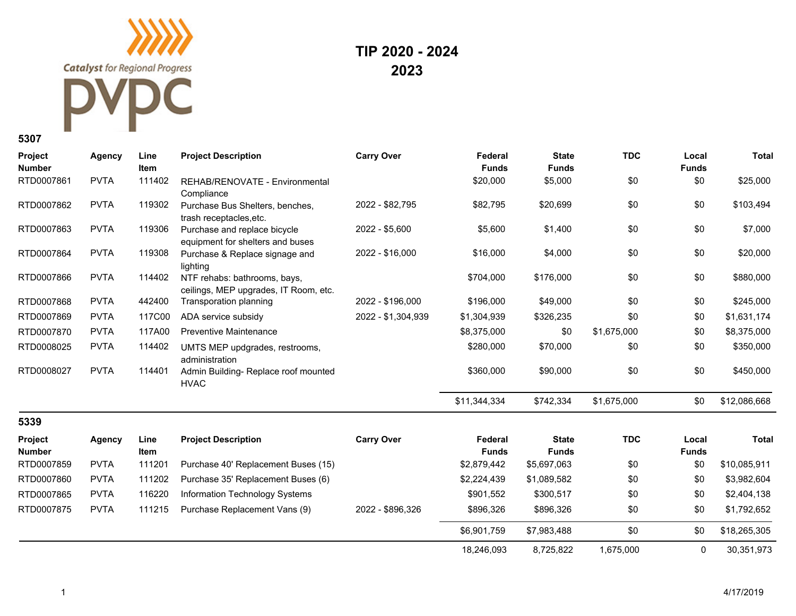**Catalyst** for Regional Progress  $\textcolor{red}{\textbf{C}}$ 

**TIP 2020 - 2024 2023**

| Project<br><b>Number</b> | <b>Agency</b> | Line<br>Item | <b>Project Description</b>                                            | <b>Carry Over</b>  | Federal<br><b>Funds</b> | <b>State</b><br><b>Funds</b> | <b>TDC</b>  | Local<br><b>Funds</b> | <b>Total</b> |
|--------------------------|---------------|--------------|-----------------------------------------------------------------------|--------------------|-------------------------|------------------------------|-------------|-----------------------|--------------|
| RTD0007861               | <b>PVTA</b>   | 111402       | REHAB/RENOVATE - Environmental<br>Compliance                          |                    | \$20,000                | \$5,000                      | \$0         | \$0                   | \$25,000     |
| RTD0007862               | <b>PVTA</b>   | 119302       | Purchase Bus Shelters, benches,<br>trash receptacles, etc.            | 2022 - \$82,795    | \$82,795                | \$20,699                     | \$0         | \$0                   | \$103,494    |
| RTD0007863               | <b>PVTA</b>   | 119306       | Purchase and replace bicycle<br>equipment for shelters and buses      | 2022 - \$5,600     | \$5,600                 | \$1,400                      | \$0         | \$0                   | \$7,000      |
| RTD0007864               | <b>PVTA</b>   | 119308       | Purchase & Replace signage and<br>lighting                            | 2022 - \$16,000    | \$16,000                | \$4,000                      | \$0         | \$0                   | \$20,000     |
| RTD0007866               | <b>PVTA</b>   | 114402       | NTF rehabs: bathrooms, bays,<br>ceilings, MEP upgrades, IT Room, etc. |                    | \$704,000               | \$176,000                    | \$0         | \$0                   | \$880,000    |
| RTD0007868               | <b>PVTA</b>   | 442400       | Transporation planning                                                | 2022 - \$196,000   | \$196,000               | \$49,000                     | \$0         | \$0                   | \$245,000    |
| RTD0007869               | <b>PVTA</b>   | 117C00       | ADA service subsidy                                                   | 2022 - \$1,304,939 | \$1,304,939             | \$326,235                    | \$0         | \$0                   | \$1,631,174  |
| RTD0007870               | <b>PVTA</b>   | 117A00       | <b>Preventive Maintenance</b>                                         |                    | \$8,375,000             | \$0                          | \$1,675,000 | \$0                   | \$8,375,000  |
| RTD0008025               | <b>PVTA</b>   | 114402       | UMTS MEP updgrades, restrooms,<br>administration                      |                    | \$280,000               | \$70,000                     | \$0         | \$0                   | \$350,000    |
| RTD0008027               | <b>PVTA</b>   | 114401       | Admin Building-Replace roof mounted<br><b>HVAC</b>                    |                    | \$360,000               | \$90,000                     | \$0         | \$0                   | \$450,000    |
|                          |               |              |                                                                       |                    | \$11,344,334            | \$742,334                    | \$1,675,000 | \$0                   | \$12,086,668 |
| 5339                     |               |              |                                                                       |                    |                         |                              |             |                       |              |
| Project<br><b>Number</b> | <b>Agency</b> | Line<br>Item | <b>Project Description</b>                                            | <b>Carry Over</b>  | Federal<br><b>Funds</b> | <b>State</b><br><b>Funds</b> | <b>TDC</b>  | Local<br><b>Funds</b> | <b>Total</b> |
| RTD0007859               | <b>PVTA</b>   | 111201       | Purchase 40' Replacement Buses (15)                                   |                    | \$2,879,442             | \$5,697,063                  | \$0         | \$0                   | \$10,085,911 |
| RTD0007860               | <b>PVTA</b>   | 111202       | Purchase 35' Replacement Buses (6)                                    |                    | \$2,224,439             | \$1,089,582                  | \$0         | \$0                   | \$3,982,604  |
| RTD0007865               | <b>PVTA</b>   | 116220       | Information Technology Systems                                        |                    | \$901,552               | \$300,517                    | \$0         | \$0                   | \$2,404,138  |
| RTD0007875               | <b>PVTA</b>   | 111215       | Purchase Replacement Vans (9)                                         | 2022 - \$896,326   | \$896,326               | \$896,326                    | \$0         | \$0                   | \$1,792,652  |
|                          |               |              |                                                                       |                    | \$6,901,759             | \$7,983,488                  | \$0         | \$0                   | \$18,265,305 |
|                          |               |              |                                                                       |                    | 18,246,093              | 8,725,822                    | 1,675,000   | $\mathbf 0$           | 30,351,973   |